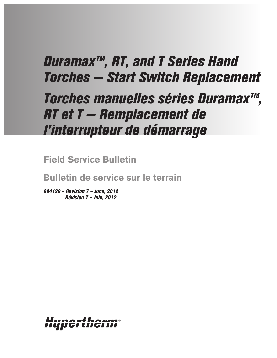# *Duramax™, RT, and T Series Hand Torches — Start Switch Replacement*

# *Torches manuelles séries Duramax™, RT et T — Remplacement de l'interrupteur de démarrage*

**Field Service Bulletin**

**Bulletin de service sur le terrain**

*804120 – Revision 7 – June, 2012 Révision 7 – Juin, 2012*

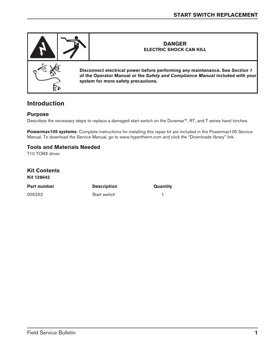

## **Introduction**

#### **Purpose**

Describes the necessary steps to replace a damaged start switch on the Duramax™, RT, and T series hand torches.

**Powermax105 systems**: Complete instructions for installing this repair kit are included in the Powermax105 Service Manual. To download the Service Manual, go to www.hypertherm.com and click the "Downloads library" link.

#### **Tools and Materials Needed**

T10 TORX driver

| <b>Kit Contents</b><br><b>Kit 128642</b> |                    |          |
|------------------------------------------|--------------------|----------|
| <b>Part number</b>                       | <b>Description</b> | Quantity |
| 005252                                   | Start switch       |          |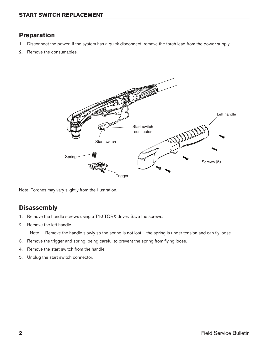## **Preparation**

- 1. Disconnect the power. If the system has a quick disconnect, remove the torch lead from the power supply.
- 2. Remove the consumables.



Note: Torches may vary slightly from the illustration.

## **Disassembly**

- 1. Remove the handle screws using a T10 TORX driver. Save the screws.
- 2. Remove the left handle.

Note: Remove the handle slowly so the spring is not lost – the spring is under tension and can fly loose.

- 3. Remove the trigger and spring, being careful to prevent the spring from flying loose.
- 4. Remove the start switch from the handle.
- 5. Unplug the start switch connector.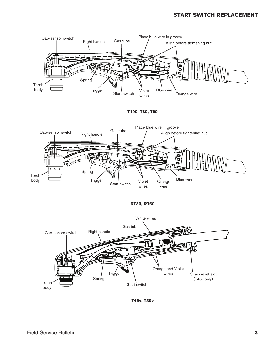

**RT80, RT60**



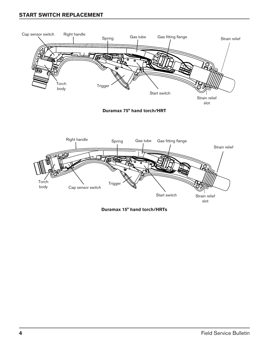#### **Start switch replacement**



**Duramax 15° hand torch/HRTs**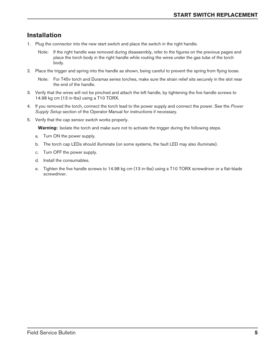## **Installation**

- 1. Plug the connector into the new start switch and place the switch in the right handle.
	- Note: If the right handle was removed during disassembly, refer to the figures on the previous pages and place the torch body in the right handle while routing the wires under the gas tube of the torch body.
- 2. Place the trigger and spring into the handle as shown, being careful to prevent the spring from flying loose.

Note: For T45v torch and Duramax series torches, make sure the strain relief sits securely in the slot near the end of the handle.

- 3. Verify that the wires will not be pinched and attach the left handle, by tightening the five handle screws to 14.98 kg cm (13 in-lbs) using a T10 TORX.
- 4. If you removed the torch, connect the torch lead to the power supply and connect the power. See the *Power Supply Setup* section of the Operator Manual for instructions if necessary.
- 5. Verify that the cap sensor switch works properly.

**Warning:** Isolate the torch and make sure not to activate the trigger during the following steps.

- a. Turn ON the power supply.
- b. The torch cap LEDs should illuminate (on some systems, the fault LED may also illuminate).
- c. Turn OFF the power supply.
- d. Install the consumables.
- e. Tighten the five handle screws to 14.98 kg cm (13 in-lbs) using a T10 TORX screwdriver or a flat-blade screwdriver.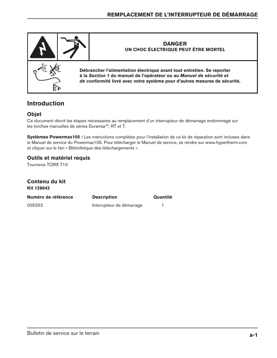

# **Introduction**

#### **Objet**

Ce document décrit les étapes nécessaires au remplacement d'un interrupteur de démarrage endommagé sur les torches manuelles de séries Duramax™, RT et T.

**Systèmes Powermax105 :** Les instructions complètes pour l'installation de ce kit de réparation sont incluses dans le Manuel de service du Powermax105. Pour télécharger le Manuel de service, se rendre sur www.hypertherm.com et cliquer sur le lien « Bibliothèque des téléchargements ».

### **Outils et matériel requis**

Tournevis TORX T10

**Contenu du kit**

| Kit 128642          |                           |          |
|---------------------|---------------------------|----------|
| Numéro de référence | <b>Description</b>        | Quantité |
| 005252              | Interrupteur de démarrage |          |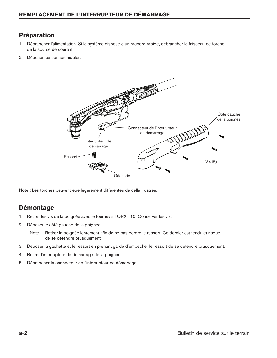# **Préparation**

- 1. Débrancher l'alimentation. Si le système dispose d'un raccord rapide, débrancher le faisceau de torche de la source de courant.
- 2. Déposer les consommables.



Note : Les torches peuvent être légèrement différentes de celle illustrée.

## **Démontage**

- 1. Retirer les vis de la poignée avec le tournevis TORX T10. Conserver les vis.
- 2. Déposer le côté gauche de la poignée.
	- Note : Retirer la poignée lentement afin de ne pas perdre le ressort. Ce dernier est tendu et risque de se détendre brusquement.
- 3. Déposer la gâchette et le ressort en prenant garde d'empêcher le ressort de se détendre brusquement.
- 4. Retirer l'interrupteur de démarrage de la poignée.
- 5. Débrancher le connecteur de l'interrupteur de démarrage.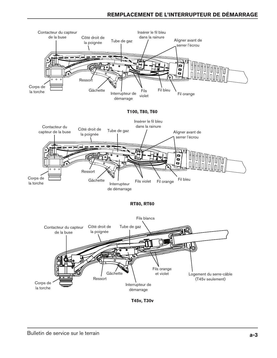#### **Remplacement de l'interrupteur DE DÉMARRAGE**

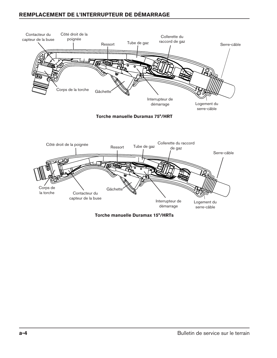#### **remplacement de l'interrupteur DE DÉMARRAGE**



**Torche manuelle Duramax 15°/HRTs**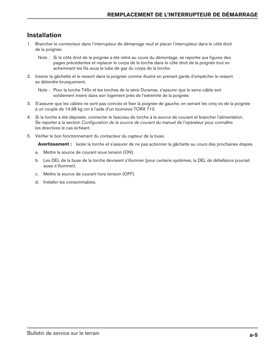# **Installation**

- 1. Brancher le connecteur dans l'interrupteur de démarrage neuf et placer l'interrupteur dans le côté droit de la poignée.
	- Note : Si le côté droit de la poignée a été retiré au cours du démontage, se reporter aux figures des pages précédentes et replacer le corps de la torche dans le côté droit de la poignée tout en acheminant les fils sous le tube de gaz du corps de la torche.
- 2. Insérer la gâchette et le ressort dans la poignée comme illustré en prenant garde d'empêcher le ressort se détendre brusquement.

- 3. S'assurer que les câbles ne sont pas coincés et fixer la poignée de gauche, en serrant les cinq vis de la poignée à un couple de 14,98 kg cm à l'aide d'un tournevis TORX T10.
- 4. Si la torche a été déposée, connecter le faisceau de torche à la source de courant et brancher l'alimentation. Se reporter à la section *Configuration de la source de courant* du manuel de l'opérateur pour connaître les directives le cas échéant.
- 5. Vérifier le bon fonctionnement du contacteur du capteur de la buse.

**Avertissement :** Isoler la torche et s'assurer de ne pas actionner la gâchette au cours des prochaines étapes.

- a. Mettre la source de courant sous tension (ON).
- b. Les DEL de la buse de la torche devraient s'illuminer (pour certains systèmes, la DEL de défaillance pourrait aussi s'illuminer).
- c. Mettre la source de courant hors tension (OFF).
- d. Installer les consommables.

Note : Pour la torche T45v et les torches de la série Duramax, s'assurer que le serre-câble soit solidement inséré dans son logement près de l'extrémité de la poignée.